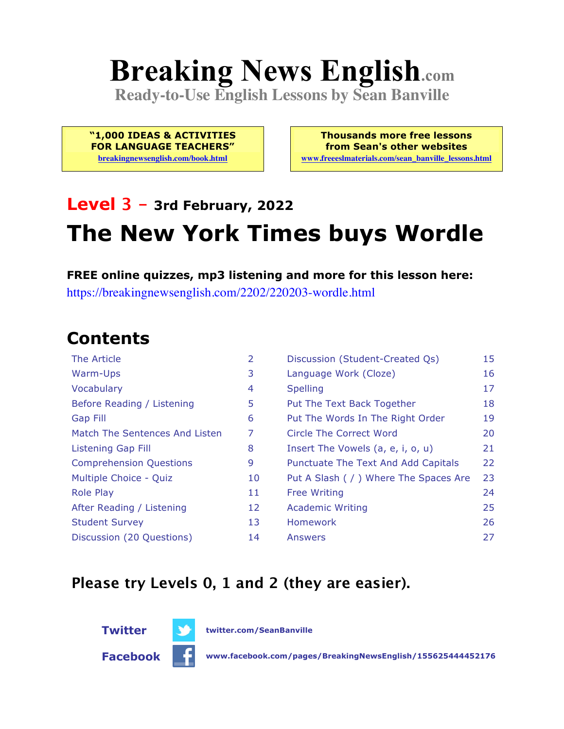# **Breaking News English.com**

**Ready-to-Use English Lessons by Sean Banville**

**"1,000 IDEAS & ACTIVITIES FOR LANGUAGE TEACHERS"**

**breakingnewsenglish.com/book.html**

**Thousands more free lessons from Sean's other websites www.freeeslmaterials.com/sean\_banville\_lessons.html**

# **Level 3 - 3rd February, 2022 The New York Times buys Wordle**

**FREE online quizzes, mp3 listening and more for this lesson here:** https://breakingnewsenglish.com/2202/220203-wordle.html

### **Contents**

| The Article                    | $\overline{2}$ | Discussion (Student-Created Qs)        | 15 |
|--------------------------------|----------------|----------------------------------------|----|
| Warm-Ups                       | 3              | Language Work (Cloze)                  | 16 |
| Vocabulary                     | 4              | <b>Spelling</b>                        | 17 |
| Before Reading / Listening     | 5              | Put The Text Back Together             | 18 |
| <b>Gap Fill</b>                | 6              | Put The Words In The Right Order       | 19 |
| Match The Sentences And Listen | 7              | Circle The Correct Word                | 20 |
| <b>Listening Gap Fill</b>      | 8              | Insert The Vowels (a, e, i, o, u)      | 21 |
| <b>Comprehension Questions</b> | 9              | Punctuate The Text And Add Capitals    | 22 |
| Multiple Choice - Quiz         | 10             | Put A Slash ( / ) Where The Spaces Are | 23 |
| <b>Role Play</b>               | 11             | <b>Free Writing</b>                    | 24 |
| After Reading / Listening      | 12             | <b>Academic Writing</b>                | 25 |
| <b>Student Survey</b>          | 13             | Homework                               | 26 |
| Discussion (20 Questions)      | 14             | Answers                                | 27 |

#### **Please try Levels 0, 1 and 2 (they are easier).**



**Twitter twitter.com/SeanBanville**

**Facebook www.facebook.com/pages/BreakingNewsEnglish/155625444452176**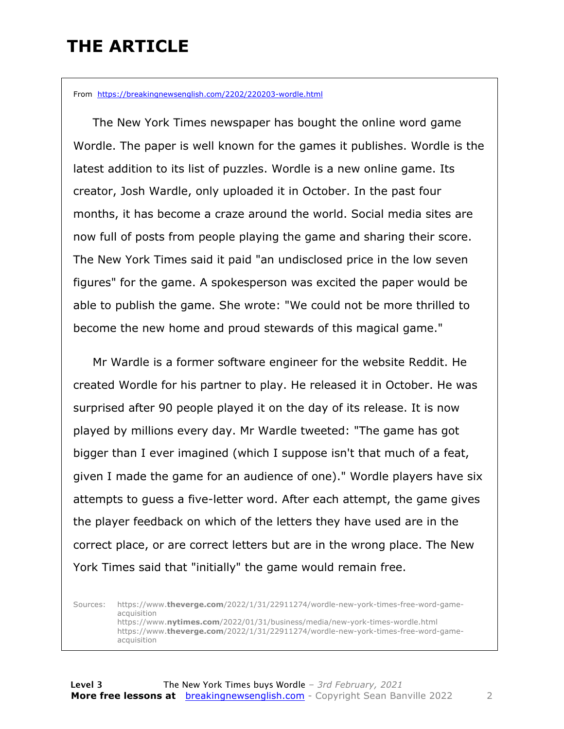### **THE ARTICLE**

From https://breakingnewsenglish.com/2202/220203-wordle.html

 The New York Times newspaper has bought the online word game Wordle. The paper is well known for the games it publishes. Wordle is the latest addition to its list of puzzles. Wordle is a new online game. Its creator, Josh Wardle, only uploaded it in October. In the past four months, it has become a craze around the world. Social media sites are now full of posts from people playing the game and sharing their score. The New York Times said it paid "an undisclosed price in the low seven figures" for the game. A spokesperson was excited the paper would be able to publish the game. She wrote: "We could not be more thrilled to become the new home and proud stewards of this magical game."

 Mr Wardle is a former software engineer for the website Reddit. He created Wordle for his partner to play. He released it in October. He was surprised after 90 people played it on the day of its release. It is now played by millions every day. Mr Wardle tweeted: "The game has got bigger than I ever imagined (which I suppose isn't that much of a feat, given I made the game for an audience of one)." Wordle players have six attempts to guess a five-letter word. After each attempt, the game gives the player feedback on which of the letters they have used are in the correct place, or are correct letters but are in the wrong place. The New York Times said that "initially" the game would remain free.

Sources: https://www.**theverge.com**/2022/1/31/22911274/wordle-new-york-times-free-word-gameacquisition https://www.**nytimes.com**/2022/01/31/business/media/new-york-times-wordle.html https://www.**theverge.com**/2022/1/31/22911274/wordle-new-york-times-free-word-gameacquisition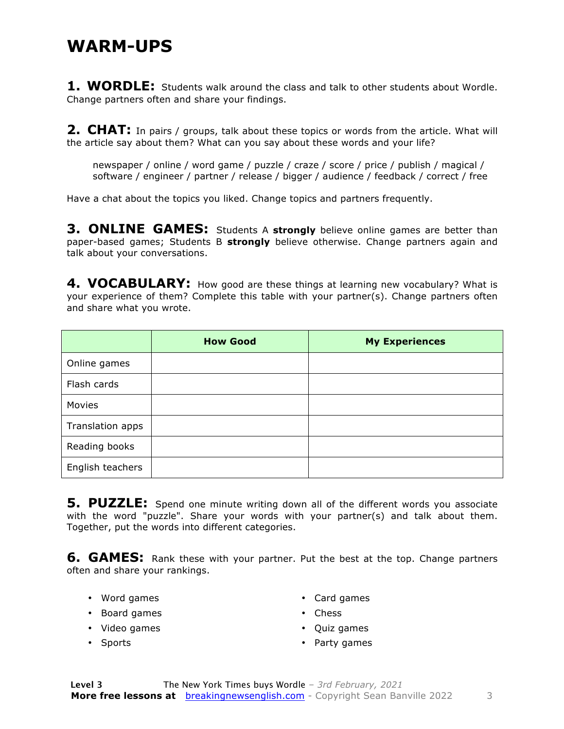#### **WARM-UPS**

**1. WORDLE:** Students walk around the class and talk to other students about Wordle. Change partners often and share your findings.

**2. CHAT:** In pairs / groups, talk about these topics or words from the article. What will the article say about them? What can you say about these words and your life?

newspaper / online / word game / puzzle / craze / score / price / publish / magical / software / engineer / partner / release / bigger / audience / feedback / correct / free

Have a chat about the topics you liked. Change topics and partners frequently.

**3. ONLINE GAMES:** Students A **strongly** believe online games are better than paper-based games; Students B **strongly** believe otherwise. Change partners again and talk about your conversations.

4. VOCABULARY: How good are these things at learning new vocabulary? What is your experience of them? Complete this table with your partner(s). Change partners often and share what you wrote.

|                  | <b>How Good</b> | <b>My Experiences</b> |
|------------------|-----------------|-----------------------|
| Online games     |                 |                       |
| Flash cards      |                 |                       |
| Movies           |                 |                       |
| Translation apps |                 |                       |
| Reading books    |                 |                       |
| English teachers |                 |                       |

**5. PUZZLE:** Spend one minute writing down all of the different words you associate with the word "puzzle". Share your words with your partner(s) and talk about them. Together, put the words into different categories.

**6. GAMES:** Rank these with your partner. Put the best at the top. Change partners often and share your rankings.

• Word games

• Card games

- Board games
- Video games

• Chess

• Sports

- Quiz games • Party games
- **Level 3** The New York Times buys Wordle *– 3rd February, 2021* **More free lessons at** breakingnewsenglish.com - Copyright Sean Banville 2022 3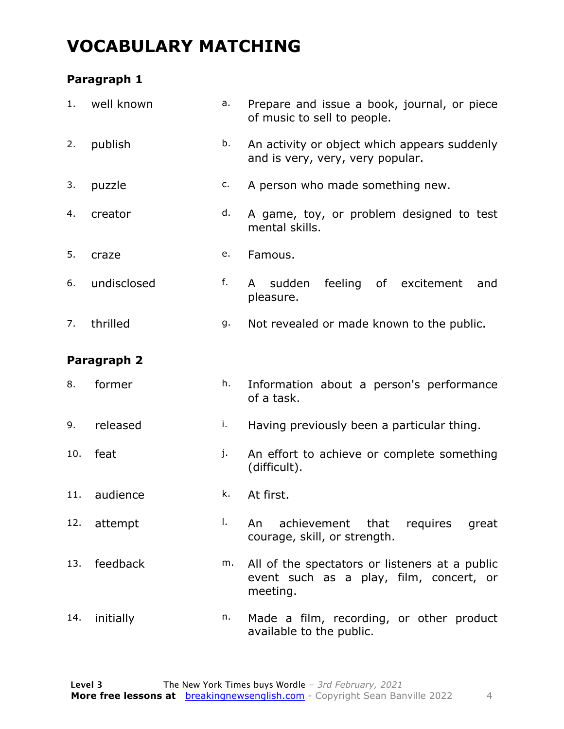### **VOCABULARY MATCHING**

#### **Paragraph 1**

| 1.  | well known   | a. | Prepare and issue a book, journal, or piece<br>of music to sell to people.                            |  |  |  |  |
|-----|--------------|----|-------------------------------------------------------------------------------------------------------|--|--|--|--|
| 2.  | publish      | b. | An activity or object which appears suddenly<br>and is very, very, very popular.                      |  |  |  |  |
| 3.  | puzzle       | c. | A person who made something new.                                                                      |  |  |  |  |
| 4.  | creator      | d. | A game, toy, or problem designed to test<br>mental skills.                                            |  |  |  |  |
| 5.  | craze        | e. | Famous.                                                                                               |  |  |  |  |
| 6.  | undisclosed  | f. | feeling<br>of excitement<br>sudden<br>A<br>and<br>pleasure.                                           |  |  |  |  |
| 7.  | thrilled     | g. | Not revealed or made known to the public.                                                             |  |  |  |  |
|     | Paragraph 2  |    |                                                                                                       |  |  |  |  |
| 8.  | former       | h. | Information about a person's performance<br>of a task.                                                |  |  |  |  |
| 9.  | released     | i. | Having previously been a particular thing.                                                            |  |  |  |  |
| 10. | feat         | j. | An effort to achieve or complete something<br>(difficult).                                            |  |  |  |  |
|     | 11. audience | k. | At first.                                                                                             |  |  |  |  |
| 12. | attempt      | Ι. | achievement that requires great<br>An<br>courage, skill, or strength.                                 |  |  |  |  |
| 13. | feedback     | m. | All of the spectators or listeners at a public<br>event such as a play, film, concert, or<br>meeting. |  |  |  |  |
| 14. | initially    | n. | Made a film, recording, or other product<br>available to the public.                                  |  |  |  |  |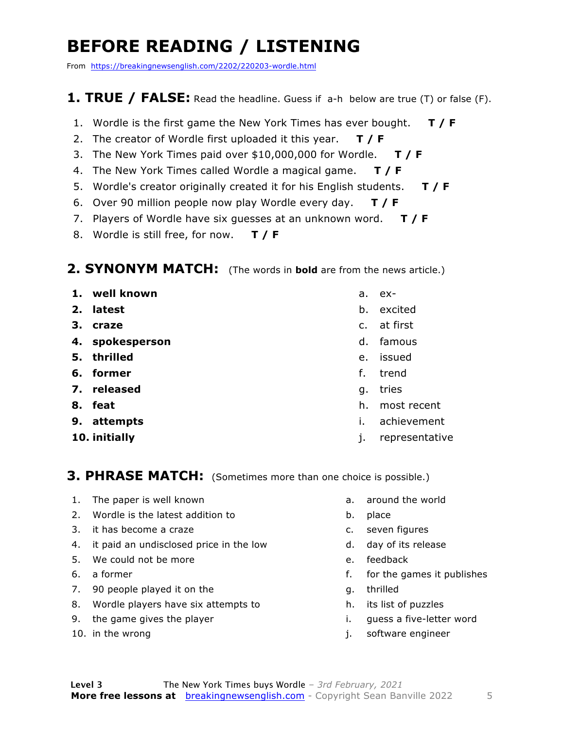### **BEFORE READING / LISTENING**

From https://breakingnewsenglish.com/2202/220203-wordle.html

#### **1. TRUE / FALSE:** Read the headline. Guess if a-h below are true (T) or false (F).

- 1. Wordle is the first game the New York Times has ever bought. **T / F**
- 2. The creator of Wordle first uploaded it this year. **T / F**
- 3. The New York Times paid over \$10,000,000 for Wordle. **T / F**
- 4. The New York Times called Wordle a magical game. **T / F**
- 5. Wordle's creator originally created it for his English students. **T / F**
- 6. Over 90 million people now play Wordle every day. **T / F**
- 7. Players of Wordle have six guesses at an unknown word. **T / F**
- 8. Wordle is still free, for now. **T / F**

#### **2. SYNONYM MATCH:** (The words in **bold** are from the news article.)

- **1. well known**
- **2. latest**
- **3. craze**
- **4. spokesperson**
- **5. thrilled**
- **6. former**
- **7. released**
- **8. feat**
- **9. attempts**
- **10. initially**
- a. ex-
- b. excited
- c. at first
- d. famous
- e. issued
- f. trend
- g. tries
- h. most recent
- i. achievement
- j. representative

#### **3. PHRASE MATCH:** (Sometimes more than one choice is possible.)

- 1. The paper is well known
- 2. Wordle is the latest addition to
- 3. it has become a craze
- 4. it paid an undisclosed price in the low
- 5. We could not be more
- 6. a former
- 7. 90 people played it on the
- 8. Wordle players have six attempts to
- 9. the game gives the player
- 10. in the wrong
- a. around the world
- b. place
- c. seven figures
- d. day of its release
- e. feedback
- f. for the games it publishes
- g. thrilled
- h. its list of puzzles
- i. guess a five-letter word
- j. software engineer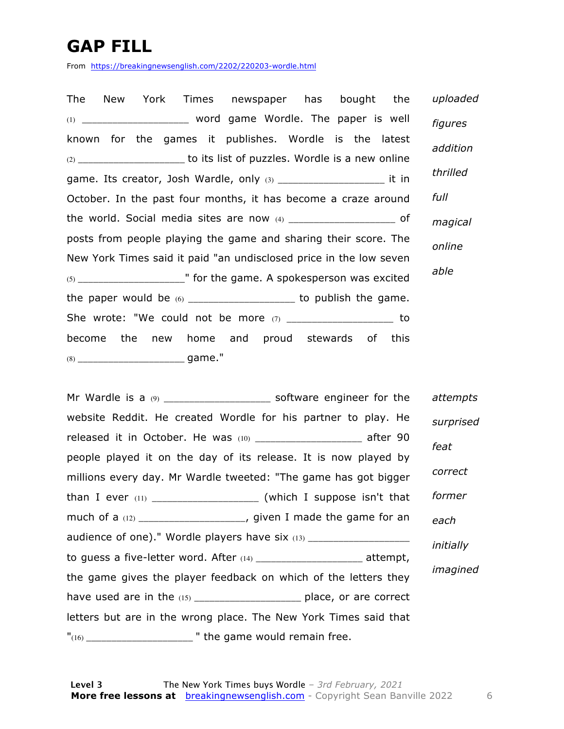### **GAP FILL**

From https://breakingnewsenglish.com/2202/220203-wordle.html

| The New York Times newspaper has bought the                                    | uploaded |
|--------------------------------------------------------------------------------|----------|
| (1) _________________________ word game Wordle. The paper is well              | figures  |
| known for the games it publishes. Wordle is the latest                         | addition |
| (2) ___________________________ to its list of puzzles. Wordle is a new online |          |
| game. Its creator, Josh Wardle, only $(3)$ ________________________ it in      | thrilled |
| October. In the past four months, it has become a craze around                 | full     |
|                                                                                | magical  |
| posts from people playing the game and sharing their score. The                | online   |
| New York Times said it paid "an undisclosed price in the low seven             |          |
|                                                                                | able     |
| the paper would be $(6)$ ______________________ to publish the game.           |          |
| She wrote: "We could not be more $(7)$ _______________________ to              |          |
| become the new home and proud stewards of this                                 |          |
|                                                                                |          |

Mr Wardle is a  $(9)$  and  $(9)$  software engineer for the website Reddit. He created Wordle for his partner to play. He released it in October. He was (10) \_\_\_\_\_\_\_\_\_\_\_\_\_\_\_\_\_\_\_\_\_ after 90 people played it on the day of its release. It is now played by millions every day. Mr Wardle tweeted: "The game has got bigger than I ever  $(11)$  \_\_\_\_\_\_\_\_\_\_\_\_\_\_\_\_\_\_\_\_\_\_\_\_\_\_ (which I suppose isn't that much of a (12) \_\_\_\_\_\_\_\_\_\_\_\_\_\_\_\_\_\_\_\_\_\_, given I made the game for an audience of one)." Wordle players have six (13) \_\_\_\_\_\_\_\_\_\_\_\_\_\_\_\_\_\_\_\_\_\_\_\_\_\_\_\_\_\_\_\_ to guess a five-letter word. After (14) \_\_\_\_\_\_\_\_\_\_\_\_\_\_\_\_\_\_\_\_\_ attempt, the game gives the player feedback on which of the letters they have used are in the  $(15)$  \_\_\_\_\_\_\_\_\_\_\_\_\_\_\_\_\_\_\_\_\_\_\_\_\_\_\_\_ place, or are correct letters but are in the wrong place. The New York Times said that  $"({}^{16})$  \_\_\_\_\_\_\_\_\_\_\_\_\_\_\_\_\_\_\_\_\_\_\_\_\_\_\_\_\_ " the game would remain free. *attempts surprised feat correct former each initially imagined*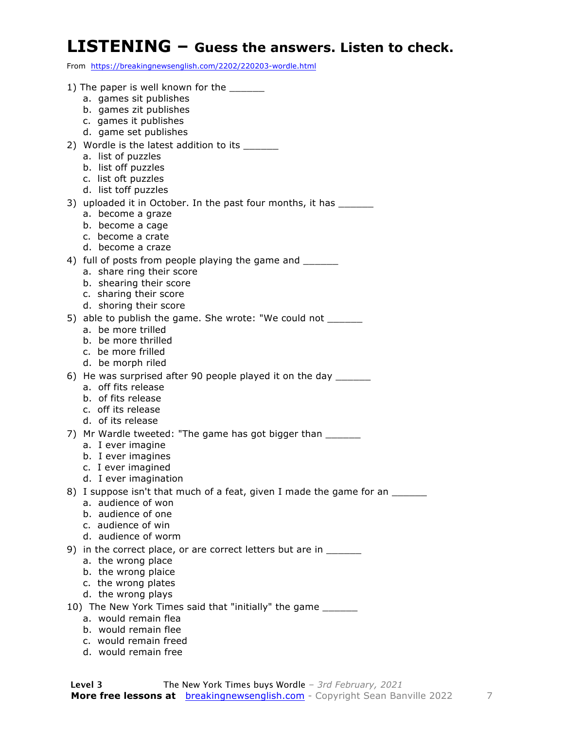#### **LISTENING – Guess the answers. Listen to check.**

From https://breakingnewsenglish.com/2202/220203-wordle.html

| 1) The paper is well known for the ______<br>a. games sit publishes                                |
|----------------------------------------------------------------------------------------------------|
| b. games zit publishes                                                                             |
| c. games it publishes                                                                              |
| d. game set publishes                                                                              |
| 2) Wordle is the latest addition to its _____                                                      |
| a. list of puzzles                                                                                 |
| b. list off puzzles<br>c. list oft puzzles                                                         |
| d. list toff puzzles                                                                               |
| 3) uploaded it in October. In the past four months, it has                                         |
| a. become a graze                                                                                  |
| b. become a cage                                                                                   |
| c. become a crate                                                                                  |
| d. become a craze<br>4) full of posts from people playing the game and _______                     |
| a. share ring their score                                                                          |
| b. shearing their score                                                                            |
| c. sharing their score                                                                             |
| d. shoring their score                                                                             |
| 5) able to publish the game. She wrote: "We could not ______                                       |
| a. be more trilled<br>b. be more thrilled                                                          |
| c. be more frilled                                                                                 |
| d. be morph riled                                                                                  |
| 6) He was surprised after 90 people played it on the day _______                                   |
| a. off fits release                                                                                |
| b. of fits release                                                                                 |
| c. off its release<br>d. of its release                                                            |
| 7) Mr Wardle tweeted: "The game has got bigger than                                                |
| a. I ever imagine                                                                                  |
| b. I ever imagines                                                                                 |
| c. I ever imagined                                                                                 |
| d. I ever imagination                                                                              |
| 8) I suppose isn't that much of a feat, given I made the game for an _______<br>a. audience of won |
| b. audience of one                                                                                 |
| c. audience of win                                                                                 |
| d. audience of worm                                                                                |
| 9) in the correct place, or are correct letters but are in                                         |
| a. the wrong place                                                                                 |
| b. the wrong plaice                                                                                |
| c. the wrong plates<br>d. the wrong plays                                                          |
| 10) The New York Times said that "initially" the game _______                                      |
| a. would remain flea                                                                               |
| b. would remain flee                                                                               |

 c. would remain freed d. would remain free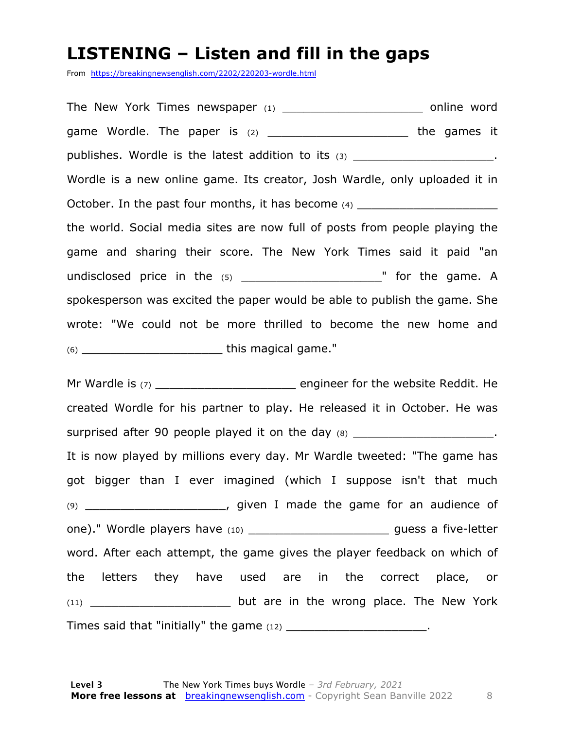#### **LISTENING – Listen and fill in the gaps**

From https://breakingnewsenglish.com/2202/220203-wordle.html

The New York Times newspaper (1) \_\_\_\_\_\_\_\_\_\_\_\_\_\_\_\_\_\_\_\_\_\_\_\_\_ online word game Wordle. The paper is  $(2)$  \_\_\_\_\_\_\_\_\_\_\_\_\_\_\_\_\_\_\_\_\_\_\_\_\_\_ the games it publishes. Wordle is the latest addition to its  $(3)$  \_\_\_\_\_\_\_\_\_\_\_\_\_\_\_\_\_\_\_\_\_\_\_. Wordle is a new online game. Its creator, Josh Wardle, only uploaded it in October. In the past four months, it has become  $(4)$ the world. Social media sites are now full of posts from people playing the game and sharing their score. The New York Times said it paid "an undisclosed price in the (5) \_\_\_\_\_\_\_\_\_\_\_\_\_\_\_\_\_\_\_\_" for the game. A spokesperson was excited the paper would be able to publish the game. She wrote: "We could not be more thrilled to become the new home and (6) \_\_\_\_\_\_\_\_\_\_\_\_\_\_\_\_\_\_\_\_ this magical game."

Mr Wardle is (7) \_\_\_\_\_\_\_\_\_\_\_\_\_\_\_\_\_\_\_\_\_\_\_\_\_\_\_ engineer for the website Reddit. He created Wordle for his partner to play. He released it in October. He was surprised after 90 people played it on the day (8) \_\_\_\_\_\_\_\_\_\_\_\_\_\_\_\_\_\_\_\_\_\_\_. It is now played by millions every day. Mr Wardle tweeted: "The game has got bigger than I ever imagined (which I suppose isn't that much (9) \_\_\_\_\_\_\_\_\_\_\_\_\_\_\_\_\_\_\_\_, given I made the game for an audience of one)." Wordle players have (10) \_\_\_\_\_\_\_\_\_\_\_\_\_\_\_\_\_\_\_\_\_\_\_\_\_\_\_\_\_guess a five-letter word. After each attempt, the game gives the player feedback on which of the letters they have used are in the correct place, or (11) \_\_\_\_\_\_\_\_\_\_\_\_\_\_\_\_\_\_\_\_\_\_\_\_\_ but are in the wrong place. The New York Times said that "initially" the game  $(12)$  \_\_\_\_\_\_\_\_\_\_\_\_\_\_\_\_\_\_\_\_\_\_\_.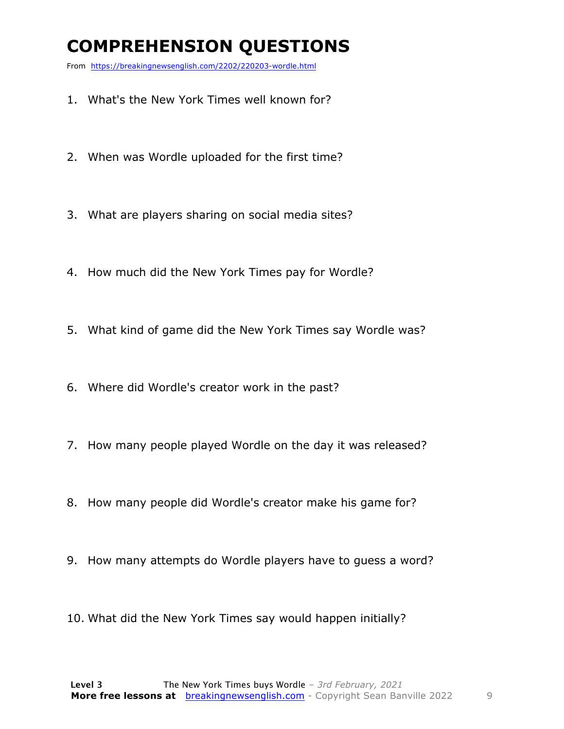### **COMPREHENSION QUESTIONS**

From https://breakingnewsenglish.com/2202/220203-wordle.html

- 1. What's the New York Times well known for?
- 2. When was Wordle uploaded for the first time?
- 3. What are players sharing on social media sites?
- 4. How much did the New York Times pay for Wordle?
- 5. What kind of game did the New York Times say Wordle was?
- 6. Where did Wordle's creator work in the past?
- 7. How many people played Wordle on the day it was released?
- 8. How many people did Wordle's creator make his game for?
- 9. How many attempts do Wordle players have to guess a word?
- 10. What did the New York Times say would happen initially?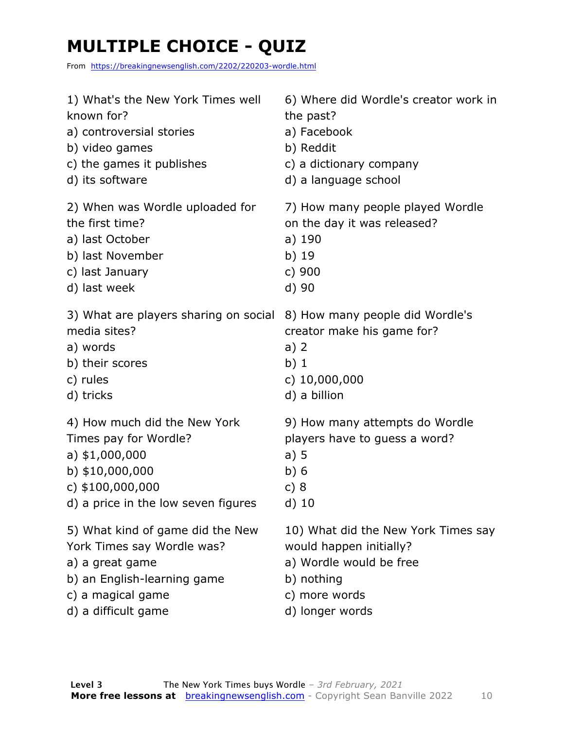# **MULTIPLE CHOICE - QUIZ**

From https://breakingnewsenglish.com/2202/220203-wordle.html

| 1) What's the New York Times well     | 6) Where did Wordle's creator work in |
|---------------------------------------|---------------------------------------|
| known for?                            | the past?                             |
| a) controversial stories              | a) Facebook                           |
| b) video games                        | b) Reddit                             |
| c) the games it publishes             | c) a dictionary company               |
| d) its software                       | d) a language school                  |
| 2) When was Wordle uploaded for       | 7) How many people played Wordle      |
| the first time?                       | on the day it was released?           |
| a) last October                       | a) 190                                |
| b) last November                      | b) 19                                 |
| c) last January                       | c) 900                                |
| d) last week                          | d) 90                                 |
| 3) What are players sharing on social | 8) How many people did Wordle's       |
| media sites?                          | creator make his game for?            |
| a) words                              | $a)$ 2                                |
| b) their scores                       | b)1                                   |
| c) rules                              | c) $10,000,000$                       |
| d) tricks                             | d) a billion                          |
| 4) How much did the New York          | 9) How many attempts do Wordle        |
| Times pay for Wordle?                 | players have to guess a word?         |
| a) $$1,000,000$                       | a)5                                   |
| b) \$10,000,000                       | b)6                                   |
| c) $$100,000,000$                     | c) $8$                                |
| d) a price in the low seven figures   | $d)$ 10                               |
| 5) What kind of game did the New      | 10) What did the New York Times say   |
| York Times say Wordle was?            | would happen initially?               |
| a) a great game                       | a) Wordle would be free               |
| b) an English-learning game           | b) nothing                            |
| c) a magical game                     | c) more words                         |
| d) a difficult game                   | d) longer words                       |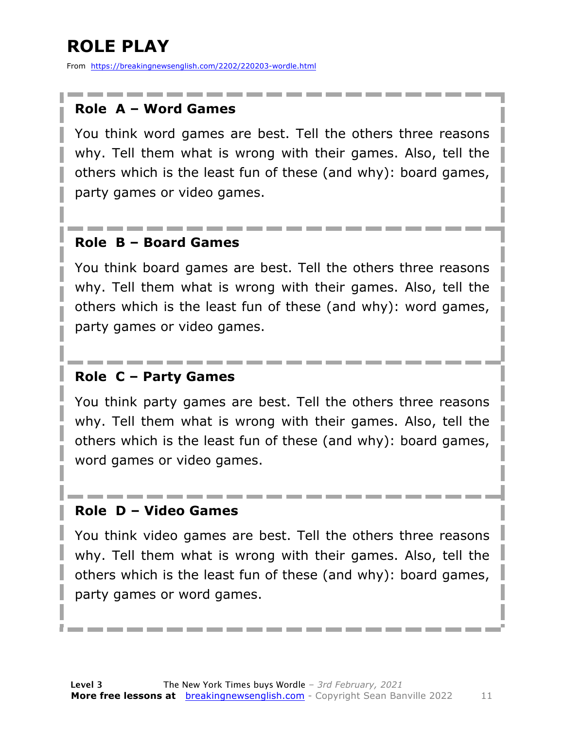# **ROLE PLAY**

From https://breakingnewsenglish.com/2202/220203-wordle.html

#### **Role A – Word Games**

You think word games are best. Tell the others three reasons why. Tell them what is wrong with their games. Also, tell the others which is the least fun of these (and why): board games, party games or video games.

#### **Role B – Board Games**

You think board games are best. Tell the others three reasons why. Tell them what is wrong with their games. Also, tell the others which is the least fun of these (and why): word games, party games or video games.

#### **Role C – Party Games**

You think party games are best. Tell the others three reasons why. Tell them what is wrong with their games. Also, tell the others which is the least fun of these (and why): board games, word games or video games.

#### **Role D – Video Games**

You think video games are best. Tell the others three reasons why. Tell them what is wrong with their games. Also, tell the others which is the least fun of these (and why): board games, party games or word games.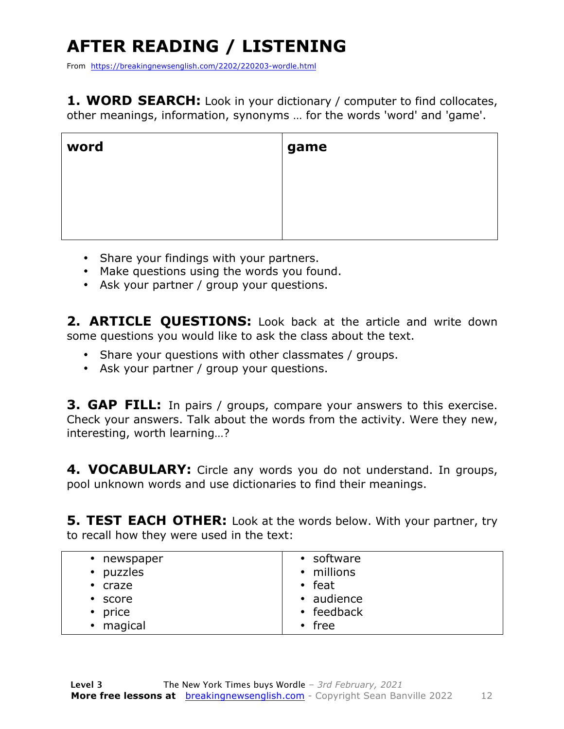# **AFTER READING / LISTENING**

From https://breakingnewsenglish.com/2202/220203-wordle.html

**1. WORD SEARCH:** Look in your dictionary / computer to find collocates, other meanings, information, synonyms … for the words 'word' and 'game'.

| word | game |
|------|------|
|      |      |
|      |      |
|      |      |

- Share your findings with your partners.
- Make questions using the words you found.
- Ask your partner / group your questions.

2. **ARTICLE OUESTIONS:** Look back at the article and write down some questions you would like to ask the class about the text.

- Share your questions with other classmates / groups.
- Ask your partner / group your questions.

**3. GAP FILL:** In pairs / groups, compare your answers to this exercise. Check your answers. Talk about the words from the activity. Were they new, interesting, worth learning…?

**4. VOCABULARY:** Circle any words you do not understand. In groups, pool unknown words and use dictionaries to find their meanings.

**5. TEST EACH OTHER:** Look at the words below. With your partner, try to recall how they were used in the text:

| • newspaper   | • software       |
|---------------|------------------|
| • puzzles     | • millions       |
| $\cdot$ craze | $\cdot$ feat     |
| • score       | • audience       |
| • price       | $\cdot$ feedback |
| • magical     | $\cdot$ free     |
|               |                  |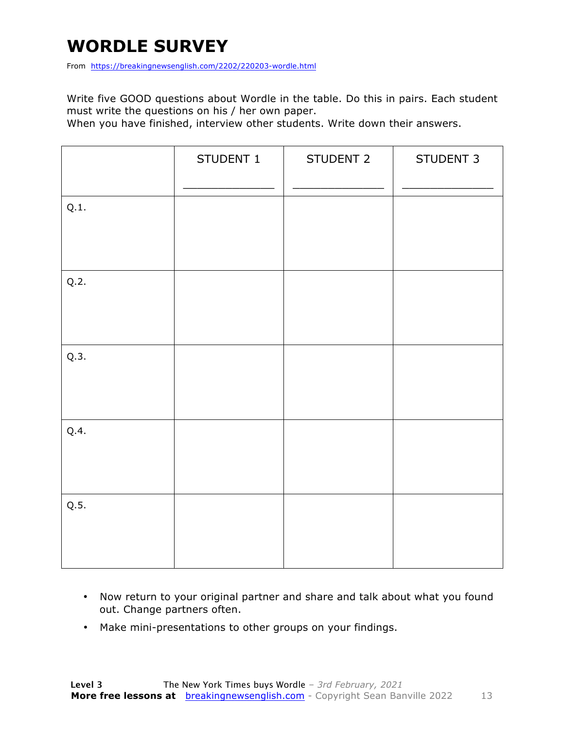### **WORDLE SURVEY**

From https://breakingnewsenglish.com/2202/220203-wordle.html

Write five GOOD questions about Wordle in the table. Do this in pairs. Each student must write the questions on his / her own paper.

When you have finished, interview other students. Write down their answers.

|      | STUDENT 1 | STUDENT 2 | STUDENT 3 |
|------|-----------|-----------|-----------|
| Q.1. |           |           |           |
| Q.2. |           |           |           |
| Q.3. |           |           |           |
| Q.4. |           |           |           |
| Q.5. |           |           |           |

- Now return to your original partner and share and talk about what you found out. Change partners often.
- Make mini-presentations to other groups on your findings.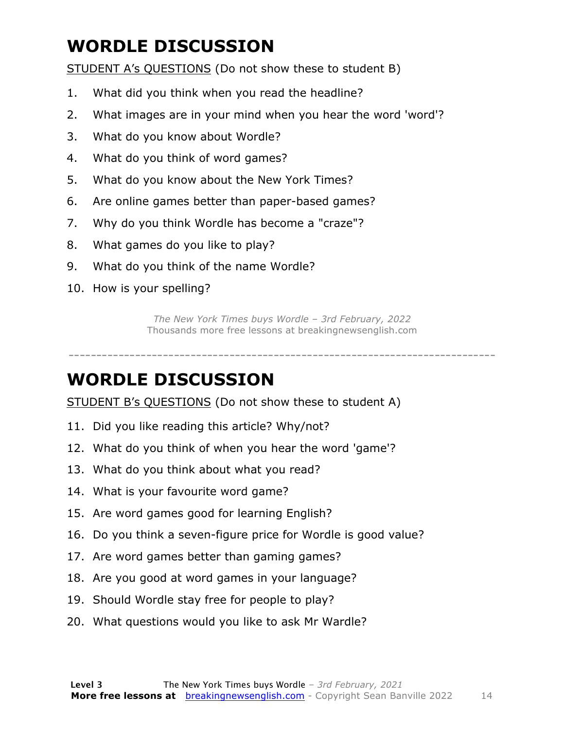### **WORDLE DISCUSSION**

STUDENT A's QUESTIONS (Do not show these to student B)

- 1. What did you think when you read the headline?
- 2. What images are in your mind when you hear the word 'word'?
- 3. What do you know about Wordle?
- 4. What do you think of word games?
- 5. What do you know about the New York Times?
- 6. Are online games better than paper-based games?
- 7. Why do you think Wordle has become a "craze"?
- 8. What games do you like to play?
- 9. What do you think of the name Wordle?
- 10. How is your spelling?

*The New York Times buys Wordle – 3rd February, 2022* Thousands more free lessons at breakingnewsenglish.com

-----------------------------------------------------------------------------

#### **WORDLE DISCUSSION**

STUDENT B's QUESTIONS (Do not show these to student A)

- 11. Did you like reading this article? Why/not?
- 12. What do you think of when you hear the word 'game'?
- 13. What do you think about what you read?
- 14. What is your favourite word game?
- 15. Are word games good for learning English?
- 16. Do you think a seven-figure price for Wordle is good value?
- 17. Are word games better than gaming games?
- 18. Are you good at word games in your language?
- 19. Should Wordle stay free for people to play?
- 20. What questions would you like to ask Mr Wardle?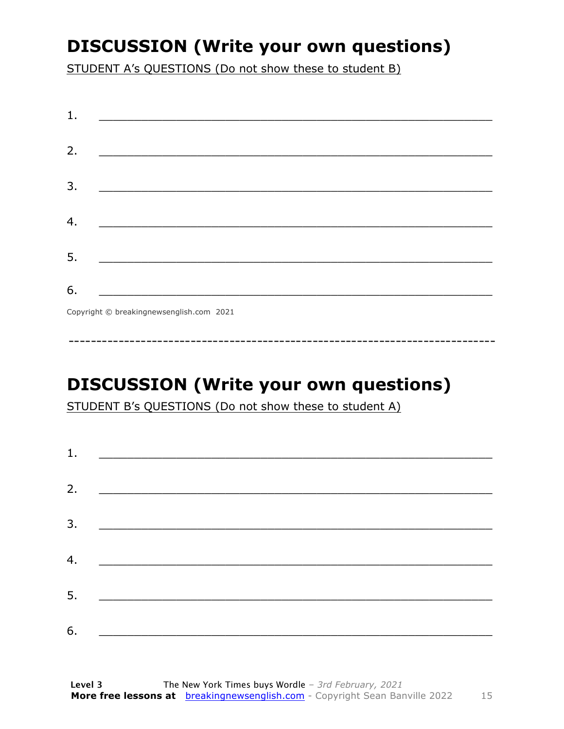### **DISCUSSION (Write your own questions)**

STUDENT A's QUESTIONS (Do not show these to student B)

| 1. |                                          |
|----|------------------------------------------|
|    |                                          |
| 2. |                                          |
|    |                                          |
| 3. |                                          |
|    |                                          |
| 4. |                                          |
|    |                                          |
| 5. |                                          |
|    |                                          |
| 6. |                                          |
|    |                                          |
|    | Copyright © breakingnewsenglish.com 2021 |

### **DISCUSSION (Write your own questions)**

STUDENT B's QUESTIONS (Do not show these to student A)

| 1. |                                                                                                                        |  |
|----|------------------------------------------------------------------------------------------------------------------------|--|
|    |                                                                                                                        |  |
| 2. |                                                                                                                        |  |
| 3. | <u> 1989 - Johann Stoff, deutscher Stoffen und der Stoffen und der Stoffen und der Stoffen und der Stoffen und der</u> |  |
| 4. | <u> 1980 - Jan Barbara Barat, martin da basar da basar da basar da basar da basar da basar da basar da basar da b</u>  |  |
| 5. |                                                                                                                        |  |
|    | <u> 1980 - Jan Barbarat, martin da basar da basar da basar da basar da basar da basar da basar da basar da basar</u>   |  |
| 6. |                                                                                                                        |  |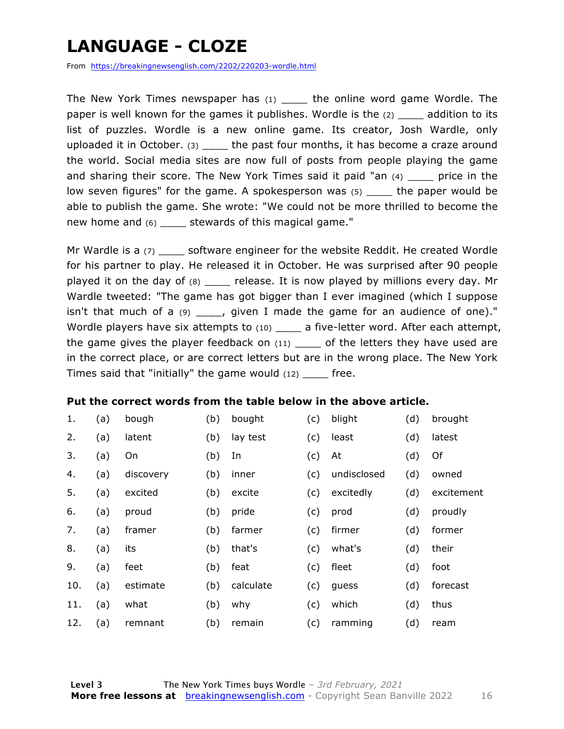### **LANGUAGE - CLOZE**

From https://breakingnewsenglish.com/2202/220203-wordle.html

The New York Times newspaper has  $(1)$  the online word game Wordle. The paper is well known for the games it publishes. Wordle is the (2) equilible paddition to its list of puzzles. Wordle is a new online game. Its creator, Josh Wardle, only uploaded it in October. (3) \_\_\_\_ the past four months, it has become a craze around the world. Social media sites are now full of posts from people playing the game and sharing their score. The New York Times said it paid "an  $(4)$  price in the low seven figures" for the game. A spokesperson was (5) \_\_\_\_ the paper would be able to publish the game. She wrote: "We could not be more thrilled to become the new home and (6) \_\_\_\_ stewards of this magical game."

Mr Wardle is a (7) \_\_\_\_\_ software engineer for the website Reddit. He created Wordle for his partner to play. He released it in October. He was surprised after 90 people played it on the day of (8) \_\_\_\_ release. It is now played by millions every day. Mr Wardle tweeted: "The game has got bigger than I ever imagined (which I suppose isn't that much of a  $(9)$  \_\_\_\_, given I made the game for an audience of one)." Wordle players have six attempts to (10) \_\_\_\_ a five-letter word. After each attempt, the game gives the player feedback on  $(11)$  \_\_\_\_ of the letters they have used are in the correct place, or are correct letters but are in the wrong place. The New York Times said that "initially" the game would  $(12)$  \_\_\_\_\_ free.

#### **Put the correct words from the table below in the above article.**

| 1.  | (a) | bough     | (b) | bought    | (c) | blight      | (d) | brought    |
|-----|-----|-----------|-----|-----------|-----|-------------|-----|------------|
| 2.  | (a) | latent    | (b) | lay test  | (c) | least       | (d) | latest     |
| 3.  | (a) | On        | (b) | In        | (c) | At          | (d) | Of         |
| 4.  | (a) | discovery | (b) | inner     | (c) | undisclosed | (d) | owned      |
| 5.  | (a) | excited   | (b) | excite    | (c) | excitedly   | (d) | excitement |
| 6.  | (a) | proud     | (b) | pride     | (c) | prod        | (d) | proudly    |
| 7.  | (a) | framer    | (b) | farmer    | (c) | firmer      | (d) | former     |
| 8.  | (a) | its       | (b) | that's    | (c) | what's      | (d) | their      |
| 9.  | (a) | feet      | (b) | feat      | (c) | fleet       | (d) | foot       |
| 10. | (a) | estimate  | (b) | calculate | (c) | guess       | (d) | forecast   |
| 11. | (a) | what      | (b) | why       | (c) | which       | (d) | thus       |
| 12. | (a) | remnant   | (b) | remain    | (c) | ramming     | (d) | ream       |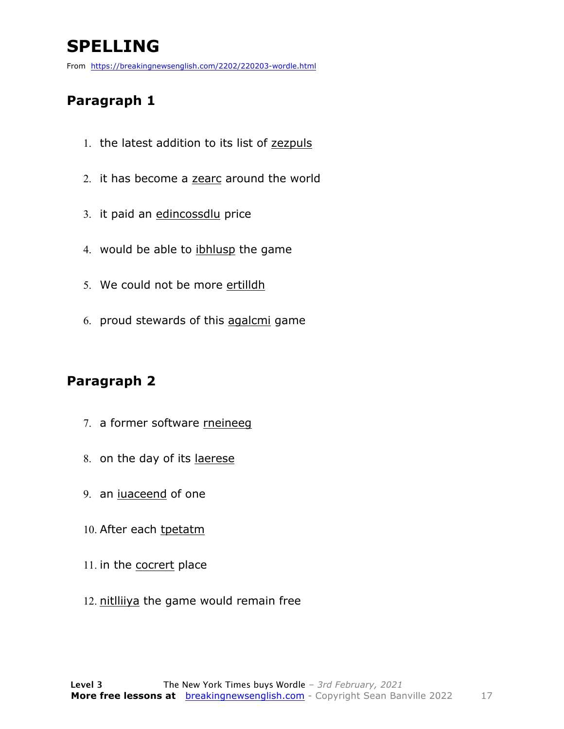## **SPELLING**

From https://breakingnewsenglish.com/2202/220203-wordle.html

#### **Paragraph 1**

- 1. the latest addition to its list of zezpuls
- 2. it has become a zearc around the world
- 3. it paid an edincossdlu price
- 4. would be able to ibhlusp the game
- 5. We could not be more ertilldh
- 6. proud stewards of this agalcmi game

#### **Paragraph 2**

- 7. a former software rneineeg
- 8. on the day of its laerese
- 9. an iuaceend of one
- 10. After each tpetatm
- 11. in the cocrert place
- 12. nitlliiya the game would remain free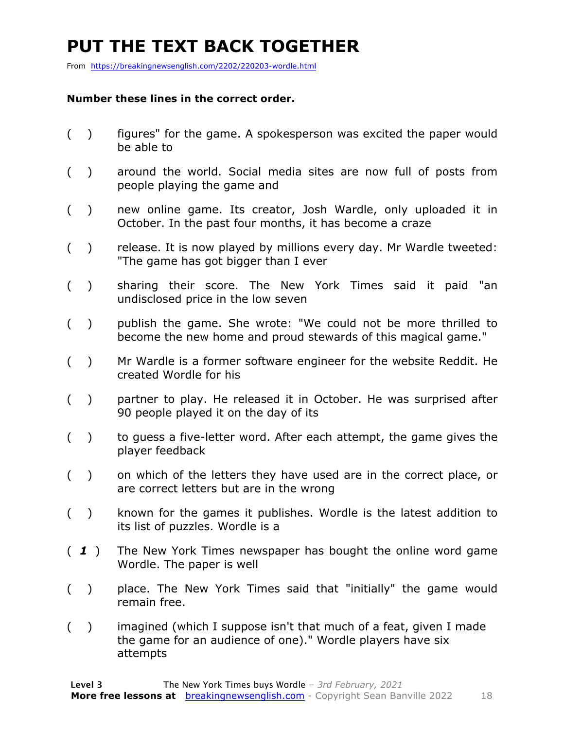### **PUT THE TEXT BACK TOGETHER**

From https://breakingnewsenglish.com/2202/220203-wordle.html

#### **Number these lines in the correct order.**

- ( ) figures" for the game. A spokesperson was excited the paper would be able to
- ( ) around the world. Social media sites are now full of posts from people playing the game and
- ( ) new online game. Its creator, Josh Wardle, only uploaded it in October. In the past four months, it has become a craze
- ( ) release. It is now played by millions every day. Mr Wardle tweeted: "The game has got bigger than I ever
- ( ) sharing their score. The New York Times said it paid "an undisclosed price in the low seven
- ( ) publish the game. She wrote: "We could not be more thrilled to become the new home and proud stewards of this magical game."
- ( ) Mr Wardle is a former software engineer for the website Reddit. He created Wordle for his
- ( ) partner to play. He released it in October. He was surprised after 90 people played it on the day of its
- ( ) to guess a five-letter word. After each attempt, the game gives the player feedback
- ( ) on which of the letters they have used are in the correct place, or are correct letters but are in the wrong
- ( ) known for the games it publishes. Wordle is the latest addition to its list of puzzles. Wordle is a
- ( *1* ) The New York Times newspaper has bought the online word game Wordle. The paper is well
- ( ) place. The New York Times said that "initially" the game would remain free.
- ( ) imagined (which I suppose isn't that much of a feat, given I made the game for an audience of one)." Wordle players have six attempts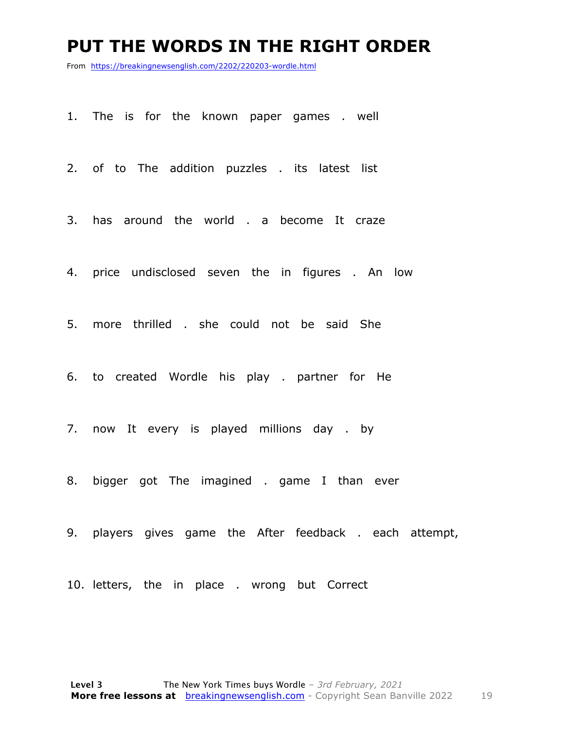#### **PUT THE WORDS IN THE RIGHT ORDER**

From https://breakingnewsenglish.com/2202/220203-wordle.html

1. The is for the known paper games . well

2. of to The addition puzzles . its latest list

3. has around the world . a become It craze

4. price undisclosed seven the in figures . An low

5. more thrilled . she could not be said She

6. to created Wordle his play . partner for He

7. now It every is played millions day . by

8. bigger got The imagined . game I than ever

9. players gives game the After feedback . each attempt,

10. letters, the in place . wrong but Correct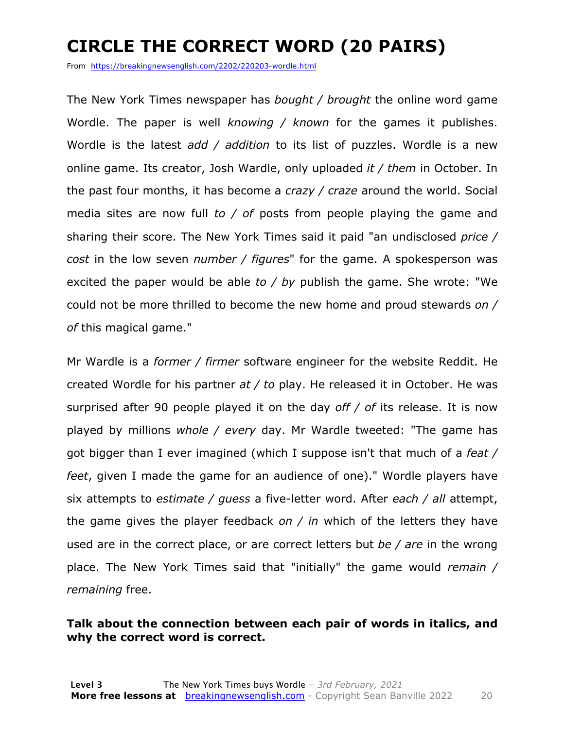### **CIRCLE THE CORRECT WORD (20 PAIRS)**

From https://breakingnewsenglish.com/2202/220203-wordle.html

The New York Times newspaper has *bought / brought* the online word game Wordle. The paper is well *knowing / known* for the games it publishes. Wordle is the latest *add / addition* to its list of puzzles. Wordle is a new online game. Its creator, Josh Wardle, only uploaded *it / them* in October. In the past four months, it has become a *crazy / craze* around the world. Social media sites are now full *to / of* posts from people playing the game and sharing their score. The New York Times said it paid "an undisclosed *price / cost* in the low seven *number / figures*" for the game. A spokesperson was excited the paper would be able *to / by* publish the game. She wrote: "We could not be more thrilled to become the new home and proud stewards *on / of* this magical game."

Mr Wardle is a *former / firmer* software engineer for the website Reddit. He created Wordle for his partner *at / to* play. He released it in October. He was surprised after 90 people played it on the day *off / of* its release. It is now played by millions *whole / every* day. Mr Wardle tweeted: "The game has got bigger than I ever imagined (which I suppose isn't that much of a *feat / feet*, given I made the game for an audience of one)." Wordle players have six attempts to *estimate / guess* a five-letter word. After *each / all* attempt, the game gives the player feedback *on / in* which of the letters they have used are in the correct place, or are correct letters but *be / are* in the wrong place. The New York Times said that "initially" the game would *remain / remaining* free.

#### **Talk about the connection between each pair of words in italics, and why the correct word is correct.**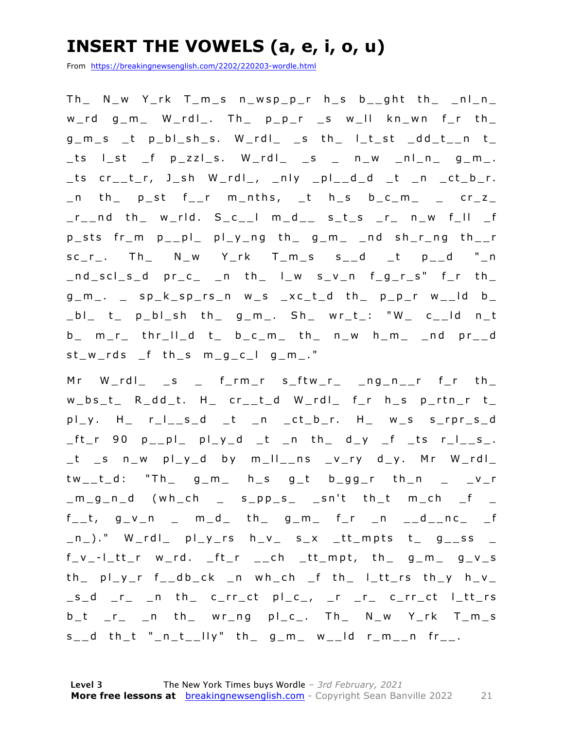### **INSERT THE VOWELS (a, e, i, o, u)**

From https://breakingnewsenglish.com/2202/220203-wordle.html

 $Th$  N\_w Y\_rk T\_m\_s n\_wsp\_p\_r h\_s b\_\_ght th\_ \_nl\_n\_  $w_{r}$ d g\_m\_ W\_rdl\_. Th\_ p\_p\_r \_s w\_ll kn\_wn f\_r th\_  $g_{-}m_{-}s$   $_t$  p\_bl\_sh\_s. W\_rdl\_ \_s th\_ l\_t\_st \_dd\_t\_\_n t\_ \_ts l\_st \_f p\_zzl\_s. W\_rdl\_ \_s \_ n\_w \_nl\_n\_ g\_m\_. \_ts cr\_\_t\_r, J\_sh W\_rdl\_, \_nly \_pl\_\_d\_d \_t \_n \_ct\_b\_r.  $\_n$  th $\_$  p $\_st$  f $\_r$  m $\_nths$ ,  $\_t$  h $\_s$  b $\_c\_m$  $\_$   $\_$  cr $\_z$  $r_{\text{max}}$  and the werld. Sectum and set set is example that the set of the set of the set of the set of the set of the set of the set of the set of the set of the set of the set of the set of the set of the set of the set p\_sts fr\_m p\_\_pl\_ pl\_y\_ng th\_ g\_m\_ \_nd sh\_r\_ng th\_\_r  $sc_r$ . Th\_ N\_w Y\_rk T\_m\_s  $s$ \_\_d \_t  $p$ \_\_d "\_n  $\_nd\_scl\_s\_d$  pr $\_c$   $\_n$  th $\_$   $l\_w$  s $\_v\_n$  f $\_g\_r\_s"$  f $\_r$  th $\_$  $g_{-}m_{-}$ .  $\leq$   $sp_{-}k_{-}sp_{-}rs_{-}n$  w $\leq$   $sc_{-}t_{-}d$  th $\leq$   $p_{-}p_{-}r$  w $\leq$ -ld b  $[b]$  t\_ p\_bl\_sh th\_ g\_m\_. Sh\_ wr\_t\_: "W\_ c\_\_ld n\_t b\_ m\_r\_ thr\_ll\_d t\_ b\_c\_m\_ th\_ n\_w h\_m\_ \_nd pr\_\_d st\_w\_rds \_f th\_s m\_g\_c\_l g\_m\_."

Mr  $W_r$ rdl\_ \_s \_ f\_rm\_r s\_ftw\_r\_ \_ng\_n\_\_r f\_r th\_  $w_b s_t$  R\_dd\_t. H\_ cr\_\_t\_d W\_rdl\_ f\_r h\_s p\_rtn\_r t\_ pl\_y. H\_ r\_l\_\_s\_d \_t \_n \_ct\_b\_r. H\_ w\_s s\_rpr\_s\_d  $ft_r$  90  $p_{p}$  $p_{p}$  $p_{p}$  $p_{p}$  $d_{p}$   $t_{p}$  $n_{p}$  $t_{p}$  $d_{p}$  $d_{p}$  $d_{p}$  $f_{p}$  $f_{p}$  $f_{p}$  $f_{p}$  $f_{p}$  $f_{p}$  $f_{p}$ \_t \_s n\_w pl\_y\_d by m\_ll\_\_ns \_v\_ry d\_y. Mr W\_rdl\_ tw\_\_t\_d: "Th\_ g\_m\_ h\_s g\_t b\_gg\_r th\_n \_ \_v\_r  $\_m\_g\_n\_d$  (wh\_ch  $\_$  s $\_pp\_s\_$   $\_sn't$  th\_t m\_ch  $\_f$   $\_$  $f_{-}$ t, g\_v\_n \_ m\_d\_ th\_ g\_m\_ f\_r \_n \_\_d\_\_nc\_ \_f  $\lfloor n \rfloor$ ." W $\lfloor$ rdl $\lfloor$  pl $\lfloor y \rfloor$ rs h $\lfloor v \rfloor$  s $\lfloor x \rfloor$  tt $\lfloor m$ pts t $\lfloor y \rfloor$ g $\lfloor s \rfloor$ ss  $\lfloor$  $f_v - l_t t$ r w\_rd. \_ft\_r \_\_ch \_tt\_mpt, th\_ g\_m\_ g\_v\_s th\_ pl\_y\_r f\_\_db\_ck \_n wh\_ch \_f th\_ l\_tt\_rs th\_y h\_v\_  $\_s\_d$   $\_r\_$   $\_n$  th $\_$  c $\_rr\_ct$  pl $\_c\_$ ,  $\_r\_$   $\_r\_$  c $\_rr\_ct$  l $\_tt\_rs$  $b_t$  \_r\_ \_n th\_ wr\_ng pl\_c\_. Th\_ N\_w Y\_rk T\_m\_s  $s_$  d th\_t "\_n\_t\_\_lly" th\_ g\_m\_ w\_\_ld r\_m\_\_n fr\_\_.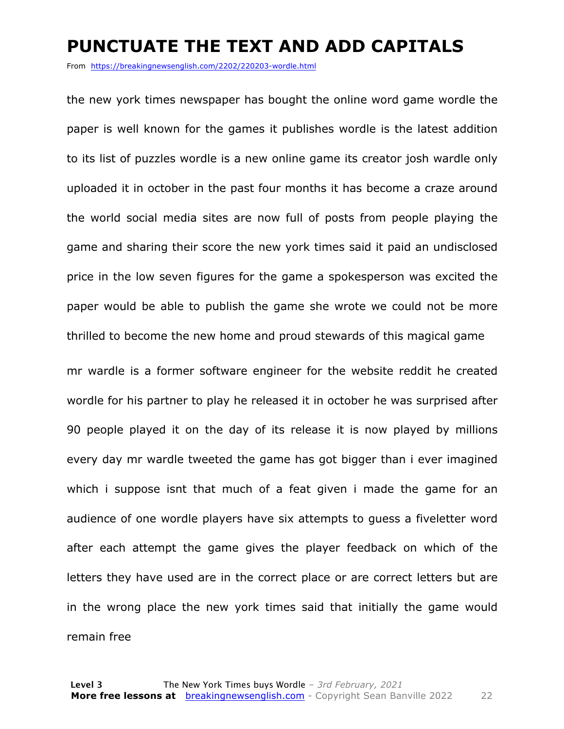#### **PUNCTUATE THE TEXT AND ADD CAPITALS**

From https://breakingnewsenglish.com/2202/220203-wordle.html

the new york times newspaper has bought the online word game wordle the paper is well known for the games it publishes wordle is the latest addition to its list of puzzles wordle is a new online game its creator josh wardle only uploaded it in october in the past four months it has become a craze around the world social media sites are now full of posts from people playing the game and sharing their score the new york times said it paid an undisclosed price in the low seven figures for the game a spokesperson was excited the paper would be able to publish the game she wrote we could not be more thrilled to become the new home and proud stewards of this magical game

mr wardle is a former software engineer for the website reddit he created wordle for his partner to play he released it in october he was surprised after 90 people played it on the day of its release it is now played by millions every day mr wardle tweeted the game has got bigger than i ever imagined which i suppose isnt that much of a feat given i made the game for an audience of one wordle players have six attempts to guess a fiveletter word after each attempt the game gives the player feedback on which of the letters they have used are in the correct place or are correct letters but are in the wrong place the new york times said that initially the game would remain free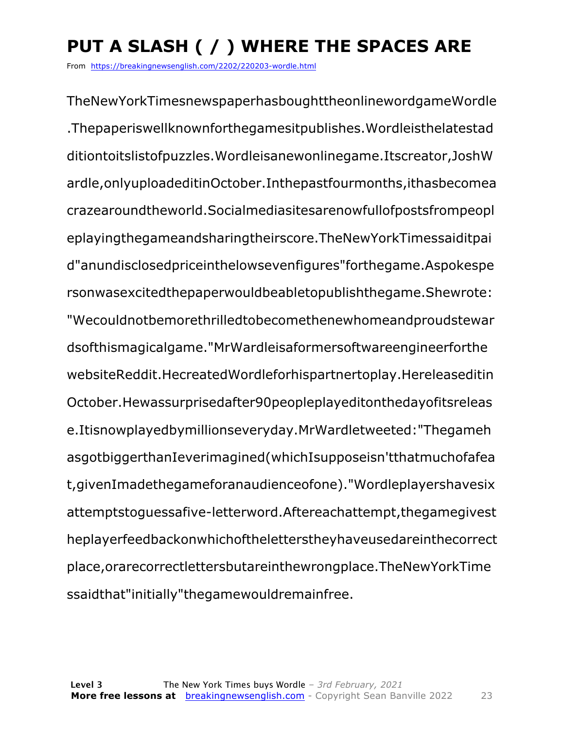# **PUT A SLASH ( / ) WHERE THE SPACES ARE**

From https://breakingnewsenglish.com/2202/220203-wordle.html

TheNewYorkTimesnewspaperhasboughttheonlinewordgameWordle .Thepaperiswellknownforthegamesitpublishes.Wordleisthelatestad ditiontoitslistofpuzzles.Wordleisanewonlinegame.Itscreator,JoshW ardle,onlyuploadeditinOctober.Inthepastfourmonths,ithasbecomea crazearoundtheworld.Socialmediasitesarenowfullofpostsfrompeopl eplayingthegameandsharingtheirscore.TheNewYorkTimessaiditpai d"anundisclosedpriceinthelowsevenfigures"forthegame.Aspokespe rsonwasexcitedthepaperwouldbeabletopublishthegame.Shewrote: "Wecouldnotbemorethrilledtobecomethenewhomeandproudstewar dsofthismagicalgame."MrWardleisaformersoftwareengineerforthe websiteReddit.HecreatedWordleforhispartnertoplay.Hereleaseditin October.Hewassurprisedafter90peopleplayeditonthedayofitsreleas e.Itisnowplayedbymillionseveryday.MrWardletweeted:"Thegameh asgotbiggerthanIeverimagined(whichIsupposeisn'tthatmuchofafea t,givenImadethegameforanaudienceofone)."Wordleplayershavesix attemptstoguessafive-letterword.Aftereachattempt,thegamegivest heplayerfeedbackonwhichoftheletterstheyhaveusedareinthecorrect place,orarecorrectlettersbutareinthewrongplace.TheNewYorkTime ssaidthat"initially"thegamewouldremainfree.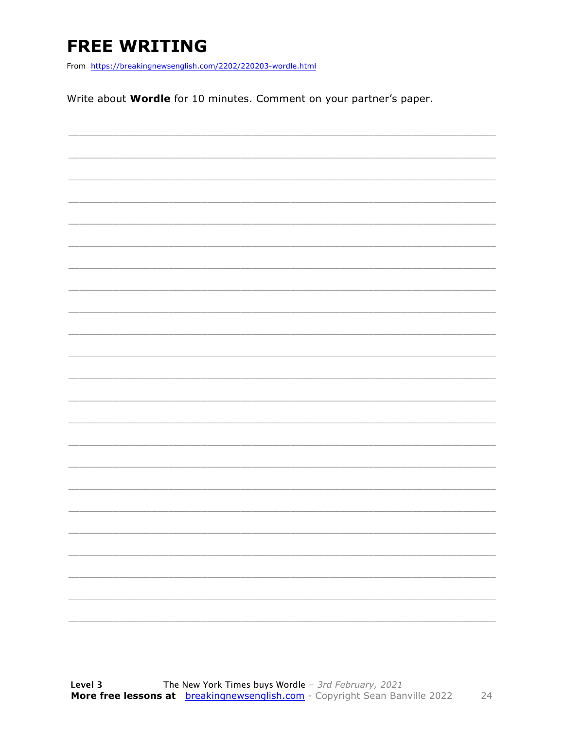### **FREE WRITING**

From https://breakingnewsenglish.com/2202/220203-wordle.html

Write about **Wordle** for 10 minutes. Comment on your partner's paper.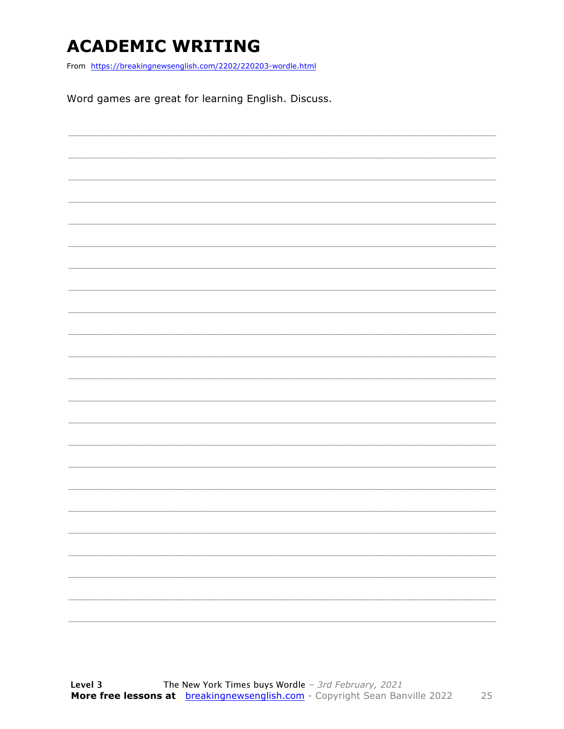### **ACADEMIC WRITING**

From https://breakingnewsenglish.com/2202/220203-wordle.html

Word games are great for learning English. Discuss.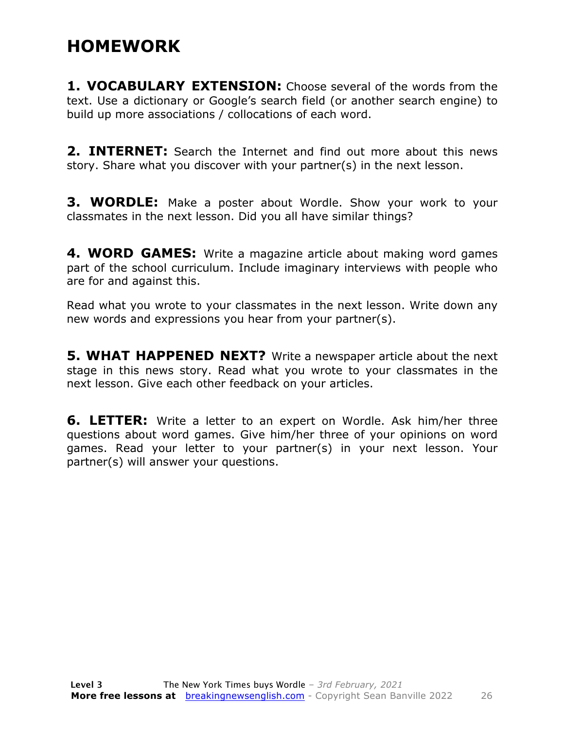#### **HOMEWORK**

**1. VOCABULARY EXTENSION:** Choose several of the words from the text. Use a dictionary or Google's search field (or another search engine) to build up more associations / collocations of each word.

**2. INTERNET:** Search the Internet and find out more about this news story. Share what you discover with your partner(s) in the next lesson.

**3. WORDLE:** Make a poster about Wordle. Show your work to your classmates in the next lesson. Did you all have similar things?

**4. WORD GAMES:** Write a magazine article about making word games part of the school curriculum. Include imaginary interviews with people who are for and against this.

Read what you wrote to your classmates in the next lesson. Write down any new words and expressions you hear from your partner(s).

**5. WHAT HAPPENED NEXT?** Write a newspaper article about the next stage in this news story. Read what you wrote to your classmates in the next lesson. Give each other feedback on your articles.

**6. LETTER:** Write a letter to an expert on Wordle. Ask him/her three questions about word games. Give him/her three of your opinions on word games. Read your letter to your partner(s) in your next lesson. Your partner(s) will answer your questions.